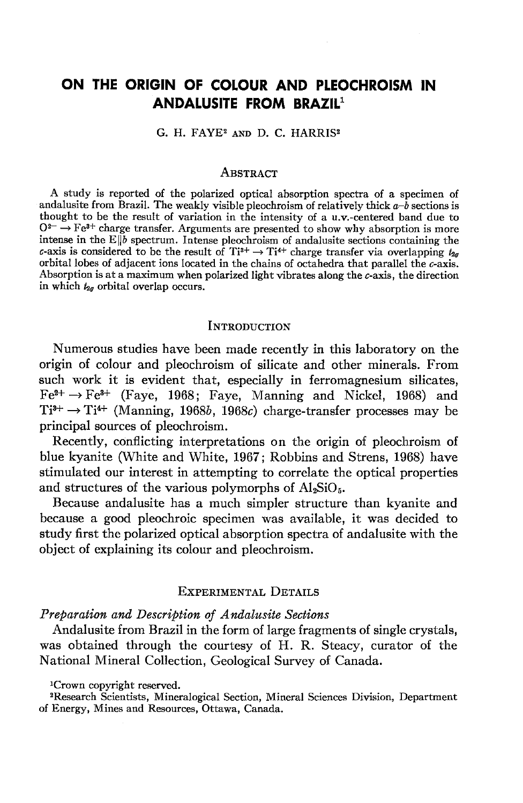# ON THE ORIGIN OF COLOUR AND PLEOCHROISM IN ANDALUSITE FROM BRAZIL<sup>1</sup>

G. H. FAYE<sup>2</sup> AND D. C. HARRIS<sup>2</sup>

#### **ABSTRACT**

A study is reported of the polarized optical absorption spectra of a specimen of andalusite from Brazil. The weakly visible pleochroism of relatively thick  $a-\overline{b}$  sections is thought to be the result of variation in the intensity of a u.v.-centered band due to  $0^{2-} \rightarrow Fe^{8+}$  charge transfer. Arguments are presented to show why absorption is more intense in the  $E\|\vec{b}$  spectrum. Intense pleochroism of andalusite sections containing the c-axis is considered to be the result of  $Ti^{3+} \rightarrow Ti^{4+}$  charge transfer via overlapping  $t_{2g}$ orbital lobes of adjacent ions located in the chains of octahedra that parallel the c-axis. Absorption is at a maximum when polarized light vibrates along the c-axis, the direction in which  $t_{2g}$  orbital overlap occurs.

#### INTRODUCTION

Numerous studies have been made recently in this laboratory on the origin of colour and pleochroism of silicate and other minerals. From such work it is evident that, especially in ferromagnesium silicates,  $Fe^{2+} \rightarrow Fe^{3+}$  (Faye, 1968; Faye, Manning and Nickel, 1968) and  $Ti^{3+} \rightarrow Ti^{4+}$  (Manning, 1968b, 1968c) charge-transfer processes may be principal sources of pleochroism.

Recently, conflicting interpretations on the origin of pleochroism of blue kyanite (White and White, 1967; Robbins and Strens, 1968) have stimulated our interest in attempting to correlate the optical properties and structures of the various polymorphs of  $Al_2SiO_5$ .

Because andalusite has a much simpler structure than kyanite and because a good pleochroic specimen was available, it was decided to study first the polarized optical absorption spectra of andalusite with the object of explaining its colour and pleochroism.

## EXPERIMENTAL DETAILS

## Preparation and Description of Andalusite Sections

Andalusite from Brazil in the form of large fragments of single crystals, was obtained through the courtesy of H. R. Steacy, curator of the National Mineral Collection, Geological Survey of Canada.

lCrown copyright reserved.

<sup>&</sup>lt;sup>2</sup>Research Scientists, Mineralogical Section, Mineral Sciences Division, Department of Energy, Mines and Resources, Ottawa, Canada.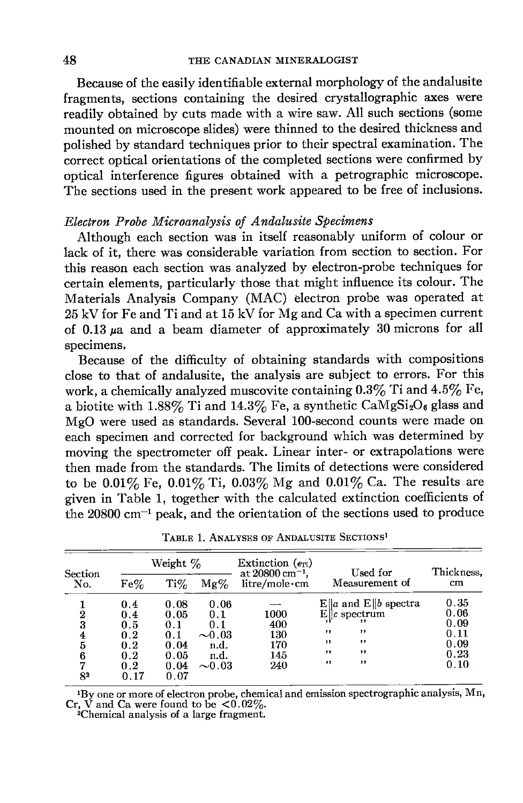Because of the easily identifiable external morphology of the andalusite fragments, sections containing the desired crystallographic axes were readily obtained by cuts made with a wire saw. All such sections (some mounted on microscope slides) were thinned to the desired thickness and polished by standard techniques prior to their spectral examination. The correct optical orientations of the completed sections were confirmed by optical interference figures obtained with a petrographic microscope. The sections used in the present work appeared to be free of inclusions.

## Electron Probe Microanalysis of Andalusite Specimens

Although each section was in itself reasonably uniform of colour or lack of it, there was considerable variation from section to section. For this reason each section was analyzed by electron'probe techniques for certain elements, particularly those that might influence its colour. The Materials Analysis Company (MAC) electron probe was operated at 25kV for Fe and Ti and at 15 kV for Mg and Ca with a specimen current of  $0.13 \mu a$  and a beam diameter of approximately 30 microns for all specimens.

Because of the difficulty of obtaining standards with compositions close to that of andalusite, the analysis are subject to errors. For this work, a chemically analyzed muscovite containing  $0.3\%$  Ti and  $4.5\%$  Fe, a biotite with  $1.88\%$  Ti and  $14.3\%$  Fe, a synthetic CaMgSi<sub>2</sub>O<sub>6</sub> glass and MgO were used as standards. Several 100-second counts were made on each specimen and corrected for background which was determined by moving the spectrometer off peak. Linear inter- or extrapolations were then made from the standards. The limits of detections were considered to be  $0.01\%$  Fe,  $0.01\%$  Ti,  $0.03\%$  Mg and  $0.01\%$  Ca. The results are given in Table 1, together with the calculated extinction coefficients of the  $20800 \text{ cm}^{-1}$  peak, and the orientation of the sections used to produce

| Section<br>No.   | Weight % |            |             | Extinction $(e_{Ti})$<br>at $20800 \text{ cm}^{-1}$ . | Used for                  | Thickness, |
|------------------|----------|------------|-------------|-------------------------------------------------------|---------------------------|------------|
|                  | $Fe\%$   | $\rm Ti\%$ | $Mg\%$      | litre/mole·cm                                         | Measurement of            | cm         |
|                  | 0.4      | 0.08       | 0.06        |                                                       | $E\ a$ and $E\ b$ spectra | 0.35       |
| $\boldsymbol{2}$ | 0.4      | 0.05       | 0.1         | 1000                                                  | $E\ c$ spectrum           | 0.06       |
| 3                | 0.5      | 0.1        | 0.1         | 400                                                   |                           | 0.09       |
| 4                | 0.2      | 0.1        | $\sim 0.03$ | 130                                                   | ,,<br>,,                  | 0.11       |
| 5                | 0.2      | 0.04       | n.d.        | 170                                                   | ,,<br>,,                  | 0.09       |
| 6                | 0.2      | 0.05       | n.d.        | 145                                                   | ,,<br>, ,                 | 0.23       |
| 7                | 0.2      | 0.04       | $\sim 0.03$ | 240                                                   | ,,<br>,,                  | 0.10       |
| 82               | 0.17     | 0.07       |             |                                                       |                           |            |

TABLE 1. ANALYSES OF ANDALUSITE SECTIONS<sup>1</sup>

<sup>1</sup>By one or more of electron probe, chemical and emission spectrographic analysis, Mn Cr, V and Ca were found to be  $\lt 0.02\%$ .<br><sup>2</sup>Chemical analysis of a large fragment.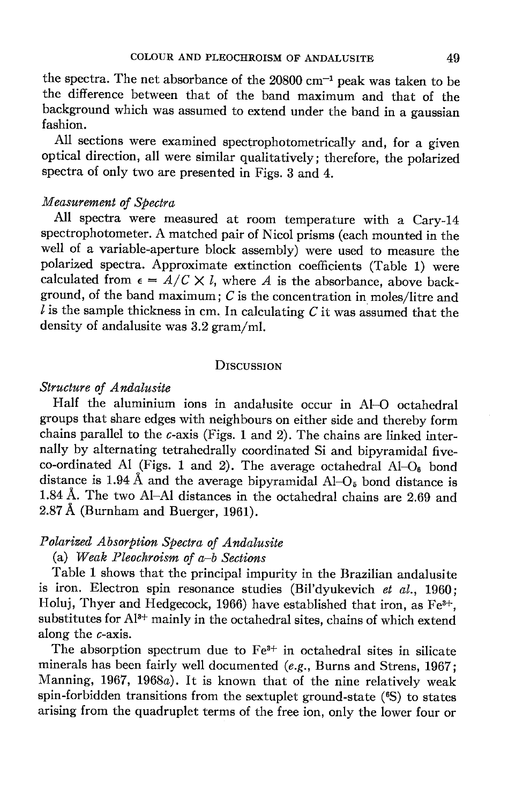the spectra. The net absorbance of the  $20800$  cm<sup>-1</sup> peak was taken to be the difference between that of the band maximum and that of the background which was assumed to extend under the band in a gaussian fashion.

All sections were examined spectrophotometrically and, for a given optical direction, all were similar qualitatively; therefore, the polarized spectra of only two are presented in Figs. 3 and 4.

## Measurement of Spectra

All spectra were measured at room temperature with a Cary-14 spectrophotometer. A matched pair of Nicol prisms (each mounted in the well of a variable-aperture block assembly) were used to measure the polarized spectra. Approximate extinction coefficients (Table 1) were calculated from  $\epsilon = A/C \times l$ , where A is the absorbance, above background, of the band maximum;  $C$  is the concentration in moles/litre and  $l$  is the sample thickness in cm. In calculating  $C$  it was assumed that the density of andalusite was 3.2 gram/ml.

## D<sub>ISCUSSION</sub>

## Structure of Andalusite

Half the aluminium ions in andalusite occur in Al-O octahedral groups that share edges with neighbours on either side and thereby form chains parallel to the  $c$ -axis (Figs. 1 and 2). The chains are linked internally by alternating tetrahedrally coordinated Si and bipyramidal fiveco-ordinated Al (Figs. 1 and 2). The average octahedral  $AI-O<sub>6</sub>$  bond distance is 1.94 Å and the average bipyramidal  $\text{Al}-\text{O}_5$  bond distance is l.S4 A. The two Al-Al distances in the octahedral chains are 2.6g and 2.87 A (Burnham and Buerger, 1961).

## Polarized Absorption Spectra of Andalusite

# (a) Weak Pleochroism of  $a-b$  Sections

Table 1 shows that the principal impurity in the Brazilian andalusite is iron. Electron spin resonance studies (Bil'dyukevich et  $al.$ , 1960; Holuj, Thyer and Hedgecock, 1966) have established that iron, as  $Fe<sup>3+</sup>$ , substitutes for Al<sup>3+</sup> mainly in the octahedral sites, chains of which extend along the c-axis.

The absorption spectrum due to Fe<sup>3+</sup> in octahedral sites in silicate minerals has been fairly well documented (e.g., Burns and Strens, 1967; Manning, 1967, 1968a). It is known that of the nine relatively weak spin-forbidden transitions from the sextuplet ground-state (<sup>6</sup>S) to states arising from the quadruplet terms of the free ion, only the lower four or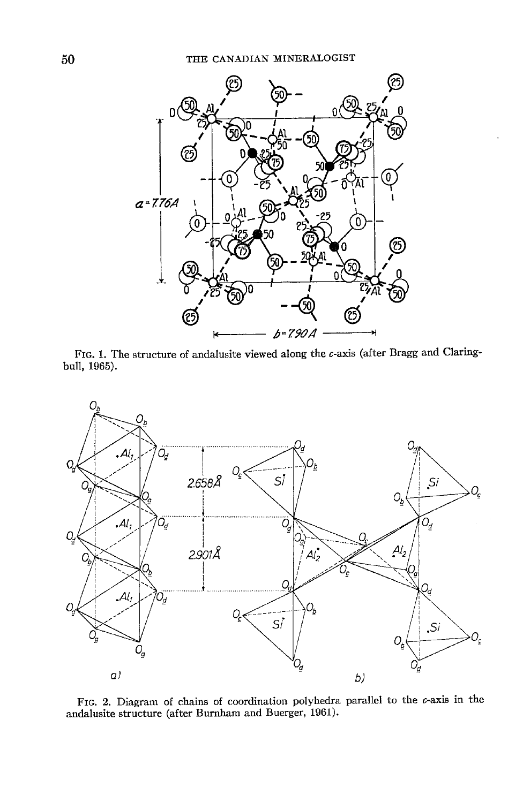

FIG. 1. The structure of andalusite viewed along the  $c$ -axis (after Bragg and Claringbull, 1965).



Fro. 2, Diagram of chains of coordination polyhedra parallel to the c-axis in the andalusite structure (after Burnham and Buerger, 1961).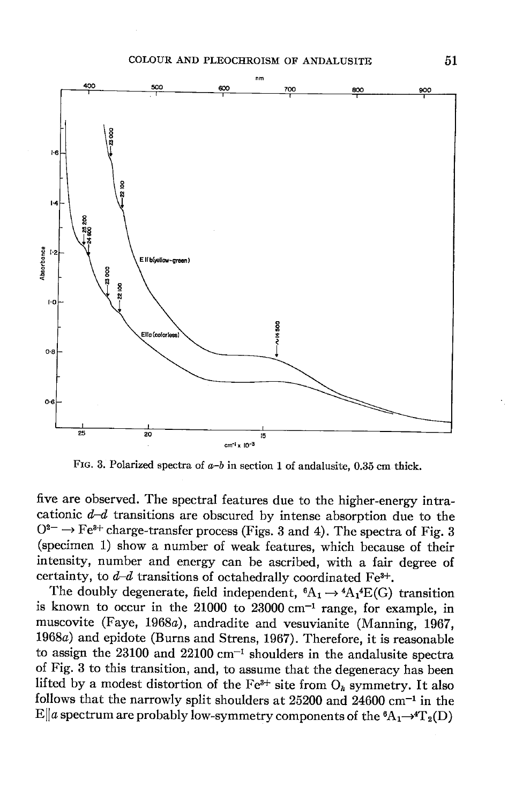

FIG. 3. Polarized spectra of  $a-b$  in section 1 of andalusite, 0.35 cm thick.

five are observed. The spectral features due to the higher-energy intracationic  $d-d$  transitions are obscured by intense absorption due to the  $0^{2-} \rightarrow Fe^{3+}$  charge-transfer process (Figs. 3 and 4). The spectra of Fig. 3 (specimen L) show a number of weak features, which because of their intensity, number and energy can be ascribed, with a fair degree of certainty, to  $d-d$  transitions of octahedrally coordinated Fe<sup>3+</sup>.

The doubly degenerate, field independent,  ${}^6A_1 \rightarrow {}^4A_1 {}^4E(G)$  transition is known to occur in the  $21000$  to  $23000$  cm<sup>-1</sup> range, for example, in muscovite (Faye, 1968a), andradite and vesuvianite (Manning, 1962, 19684) and epidote (Burns and Strens, 1967). Therefore, it is reasonable to assign the  $23100$  and  $22100$  cm<sup>-1</sup> shoulders in the andalusite spectra of Fig, 3 to this transition, and, to assume that the degeneracy has been lifted by a modest distortion of the Fe<sup>3+</sup> site from  $O_h$  symmetry. It also follows that the narrowly split shoulders at  $25200$  and  $24600$  cm<sup>-1</sup> in the  $E\|a$  spectrum are probably low-symmetry components of the  ${}^6A_1\rightarrow {}^4T_2(D)$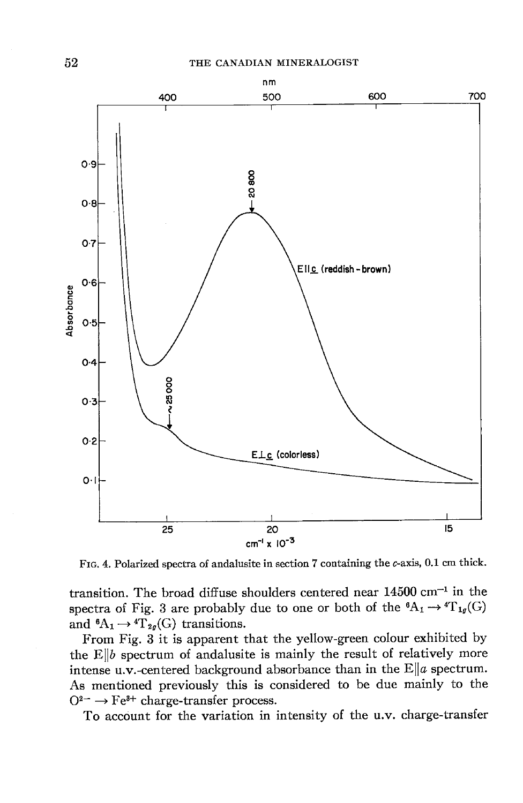

Frc. 4. Polarized spectra of andalusite in section 7 containing the c-axis, 0.1 cm thick.

transition. The broad diffuse shoulders centered near  $14500$  cm<sup>-1</sup> in the spectra of Fig. 3 are probably due to one or both of the  ${}^6A_1 \rightarrow {}^4T_{1g}(G)$ and  ${}^6A_1 \rightarrow {}^4T_{2g}(G)$  transitions.

From Fig. 3 it is apparent that the yellow-green colour exhibited by the  $E\|b$  spectrum of andalusite is mainly the result of relatively more intense u.v.-centered background absorbance than in the  $E||a$  spectrum. As mentioned previously this is considered to be due mainly to the  $Q^{2-} \rightarrow Fe^{3+}$  charge-transfer process.

To account for the variation in intensity of the u.v. charge-transfer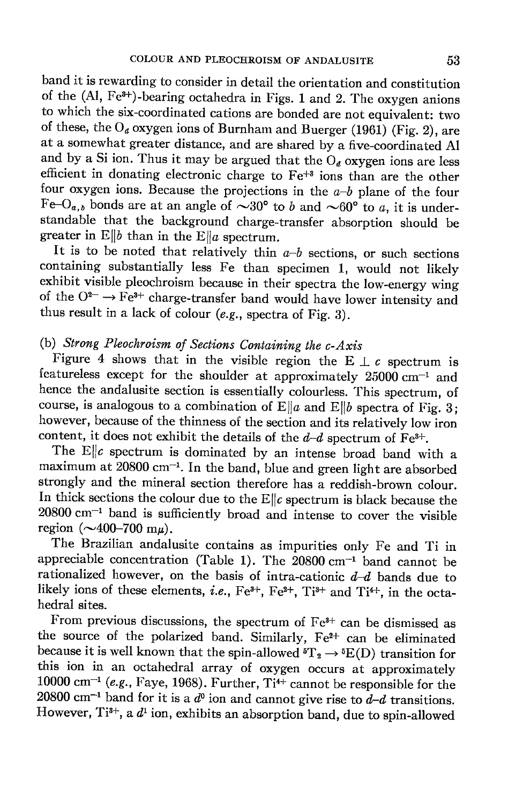band it is rewarding to consider in detail the orientation and constitution of the  $(AI, Fe<sup>3+</sup>)$ -bearing octahedra in Figs. 1 and 2. The oxygen anions to which the six-coordinated cations are bonded are not equivalent: two of these, the  $O_d$  oxygen ions of Burnham and Buerger (1961) (Fig. 2), are at a somewhat greater distance, and are shared by a five-coordinated Al and by a Si ion. Thus it may be argued that the  $O_d$  oxygen ions are less efficient in donating electronic charge to Fe+s ions than are the other four oxygen ions. Because the projections in the  $a-b$  plane of the four Fe-O<sub>a,b</sub> bonds are at an angle of  $\sim 30^{\circ}$  to b and  $\sim 60^{\circ}$  to a, it is understandable that the background charge-transfer absorption should be greater in  $E||b$  than in the  $E||a$  spectrum.

It is to be noted that relatively thin  $a-b$  sections, or such sections containing substantially less Fe than specimen L, would not likely exhibit visible pleochroism because in their spectra the low-energy wing of the  $O^{2-} \rightarrow Fe^{3+}$  charge-transfer band would have lower intensity and thus result in a lack of colour (e.g., spectra of Fig. 3).

# (b) Strong Pleochroism of Sections Containing the  $c$ -Axis

Figure 4 shows that in the visible region the E  $\perp$  c spectrum is featureless except for the shoulder at approximately  $25000$  cm<sup>-1</sup> and hence the andalusite section is essentially colourless. This spectrum, of course, is analogous to a combination of  $E||a$  and  $E||b$  spectra of Fig. 3; however, because of the thinness of the section and its relatively low iron content, it does not exhibit the details of the  $d-d$  spectrum of Fe<sup>3+</sup>.

The  $E\|c$  spectrum is dominated by an intense broad band with a maximum at 20800 cm<sup>-1</sup>. In the band, blue and green light are absorbed strongly and the mineral section therefore has a reddish-brown colour. In thick sections the colour due to the  $E\|c$  spectrum is black because the  $20800$  cm<sup>-1</sup> band is sufficiently broad and intense to cover the visible region  $(\sim 400 - 700 \text{ m}\mu)$ .

The Brazilian andalusite contains as impurities only Fe and Ti in appreciable concentration (Table 1). The  $20800$  cm<sup>-1</sup> band cannot be rationalized however, on the basis of intra-cationic  $d-d$  bands due to likely ions of these elements, *i.e.*, Fe<sup>3+</sup>, Fe<sup>2+</sup>, Ti<sup>3+</sup> and Ti<sup>4+</sup>, in the octahedral sites.

From previous discussions, the spectrum of  $Fe<sup>3+</sup>$  can be dismissed as the source of the polarized band. Similarly,  $Fe^{2+}$  can be eliminated because it is well known that the spin-allowed  ${}^5T_2 \rightarrow {}^5E(D)$  transition for this ion in an octahedral array of oxygen occurs at approximately 10000 cm<sup>-1</sup> (e.g., Faye, 1968). Further, Ti<sup>4+</sup> cannot be responsible for the 20800 cm<sup>-1</sup> band for it is a  $d^0$  ion and cannot give rise to  $d-d$  transitions. However, Ti<sup>3+</sup>, a  $d^1$  ion, exhibits an absorption band, due to spin-allowed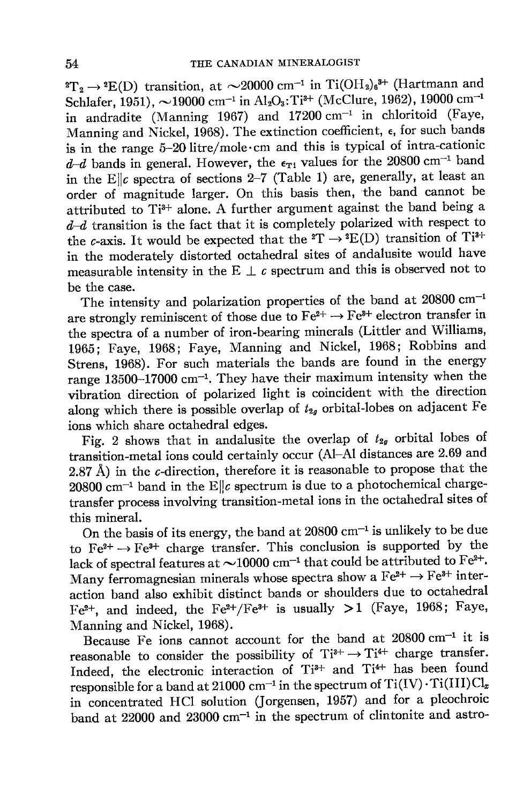${}^{2}T_{2} \rightarrow {}^{2}E(D)$  transition, at  $\sim$ 20000 cm<sup>-1</sup> in Ti(OH<sub>2</sub>)<sub>6</sub><sup>3+</sup> (Hartmann and Schlafer, 1951),  $\sim$ 19000 cm<sup>-1</sup> in Al<sub>2</sub>O<sub>3</sub>: Ti<sup>3+</sup> (McClure, 1962), 19000 cm<sup>-1</sup> in andradite (Manning 1967) and  $17200 \text{ cm}^{-1}$  in chloritoid (Faye, Manning and Nickel, 1968). The extinction coefficient,  $\epsilon$ , for such bands is in the range 5-20litre/mole.cm and this is typical of intra-cationic  $d-d$  bands in general. However, the  $\epsilon_{T1}$  values for the 20800 cm<sup>-1</sup> band in the E $\|c\|$  spectra of sections 2-7 (Table 1) are, generally, at least an order of magnitude larger. On this basis then, the band cannot be attributed to  $Ti^{3+}$  alone. A further argument against the band being a  $d-d$  transition is the fact that it is completely polarized with respect to the c-axis. It would be expected that the  ${}^{2}T \rightarrow {}^{2}E(D)$  transition of Ti<sup>3+</sup> in the moderately distorted octahedral sites of andalusite would have measurable intensity in the E  $\perp c$  spectrum and this is observed not to be the case.

The intensity and polarization properties of the band at  $20800 \text{ cm}^{-1}$ are strongly reminiscent of those due to  $Fe^{2+} \rightarrow Fe^{3+}$  electron transfer in the spectra of a number of iron-bearing minerals (Littler and Williams, 1965; Faye, 1968; Faye, Manning and Nickel, 1968; Robbins and Strens, 1963). For such materials the bands are found in the energy range 13500-17000 cm-1. They have their maximum intensity when the vibration direction of polarized light is coincident with the direction along which there is possible overlap of  $t_{2q}$  orbital-lobes on adjacent Fe ions which share octahedral edges.

Fig. 2 shows that in andalusite the overlap of  $t_{2g}$  orbital lobes of transition-metal ions could certainly occur (Al-Al distances are 2.69 and 2.87 Å) in the c-direction, therefore it is reasonable to propose that the  $20800$  cm<sup>-1</sup> band in the E||c spectrum is due to a photochemical chargetransfer process involving'transition-metal ions in the octahedral sites of this mineral.

On the basis of its energy, the band at  $20800$  cm<sup>-1</sup> is unlikely to be due to  $Fe^{2+} \rightarrow Fe^{3+}$  charge transfer. This conclusion is supported by the lack of spectral features at  $\sim$ 10000 cm<sup>-1</sup> that could be attributed to Fe<sup>2+</sup>. Many ferromagnesian minerals whose spectra show a  $Fe^{2+} \rightarrow Fe^{3+}$  interaction band also exhibit distinct bands or shoulders due to octahedral Fe<sup>2+</sup>, and indeed, the Fe<sup>2+</sup>/Fe<sup>3+</sup> is usually >1 (Faye, 1968; Faye, Manning and Nickel, 1968).

Because Fe ions cannot account for the band at  $20800 \text{ cm}^{-1}$  it is reasonable to consider the possibility of  $Ti^{3+} \rightarrow Ti^{4+}$  charge transfer. Indeed, the electronic interaction of Ti<sup>3+</sup> and Ti<sup>4+</sup> has been found responsible for a band at 21000 cm<sup>-1</sup> in the spectrum of  $Ti(IV)\cdot Ti(III)Cl_x$ in toncentrated HCI solution (Jorgensen, 1957) and for a pleochroic band at  $22000$  and  $23000$  cm<sup>-1</sup> in the spectrum of clintonite and astro-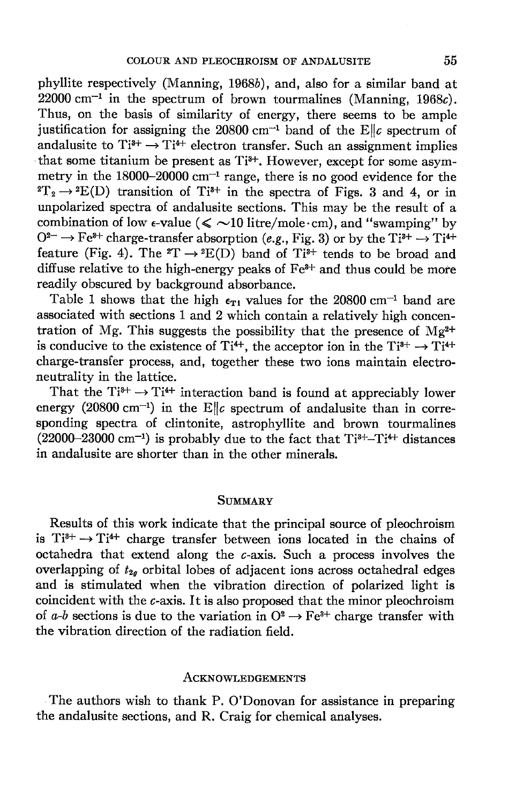phyllite respectively (Manning, 1968b), and, also for a similar band at  $22000 \text{ cm}^{-1}$  in the spectrum of brown tourmalines (Manning, 1968c). Thus, on the basis of similarity of energy, there seems to be ample justification for assigning the 20800 cm<sup>-1</sup> band of the Ellc spectrum of andalusite to  $Ti^{3+} \rightarrow Ti^{4+}$  electron transfer. Such an assignment implies that some titanium be present as  $Ti^{3+}$ . However, except for some asymmetry in the  $18000-20000$  cm<sup>-1</sup> range, there is no good evidence for the  ${}^{2}T_{2} \rightarrow {}^{2}E(D)$  transition of Ti<sup>3+</sup> in the spectra of Figs. 3 and 4, or in unpolarized spectra of andalusite sections. This may be the result of a combination of low  $\epsilon$ -value ( $\leq$  ~10 litre/mole·cm), and "swamping" by  $Q^{2-} \rightarrow \text{Fe}^{8+}$  charge-transfer absorption (e.g., Fig. 3) or by the Ti<sup>8+</sup>  $\rightarrow$  Ti<sup>4+</sup> feature (Fig. 4). The  ${}^{2}T \rightarrow {}^{2}E(D)$  band of Ti<sup>3+</sup> tends to be broad and diffuse relative to the high-energy peaks of  $Fe<sup>3+</sup>$  and thus could be more readily obscured by background absorbance.

Table 1 shows that the high  $\epsilon_{T1}$  values for the 20800 cm<sup>-1</sup> band are associated with sections 1 and 2 which contain a relatively high concentration of Mg. This suggests the possibility that the presence of  $Mg^{2+}$ is conducive to the existence of Ti<sup>4+</sup>, the acceptor ion in the Ti<sup>3+</sup>  $\rightarrow$  Ti<sup>4+</sup> charge-transfer process, and, together these two ions maintain electroneutrality in the lattice.

That the  $Ti^{3+} \rightarrow Ti^{4+}$  interaction band is found at appreciably lower energy (20800 cm<sup>-1</sup>) in the E||c spectrum of andalusite than in corresponding spectra of clintonite, astrophyllite and brown tourmalines  $(22000-23000 \text{ cm}^{-1})$  is probably due to the fact that  $Ti^{3+}-Ti^{4+}$  distances in andalusite are shorter than in the other minerals.

#### SUMMARY

Results of this work indicate that the principal source of pleochroism is  $Ti^{3+} \rightarrow Ti^{4+}$  charge transfer between ions located in the chains of octahedra that extend along the c-axis. Such a process involves the overlapping of  $t_{2g}$  orbital lobes of adjacent ions across octahedral edges and is stimulated when the vibration direction of polarized light is coincident with the c-axis. It is also proposed that the minor pleochroism of  $a-b$  sections is due to the variation in  $O^2 \rightarrow Fe^{3+}$  charge transfer with the vibration direction of the radiation field.

#### ACKNOWLEDGEMENTS

The authors wish to thank P. O'Donovan for assistance in preparing the andalusite sections, and R. Craig for chemical analyses.